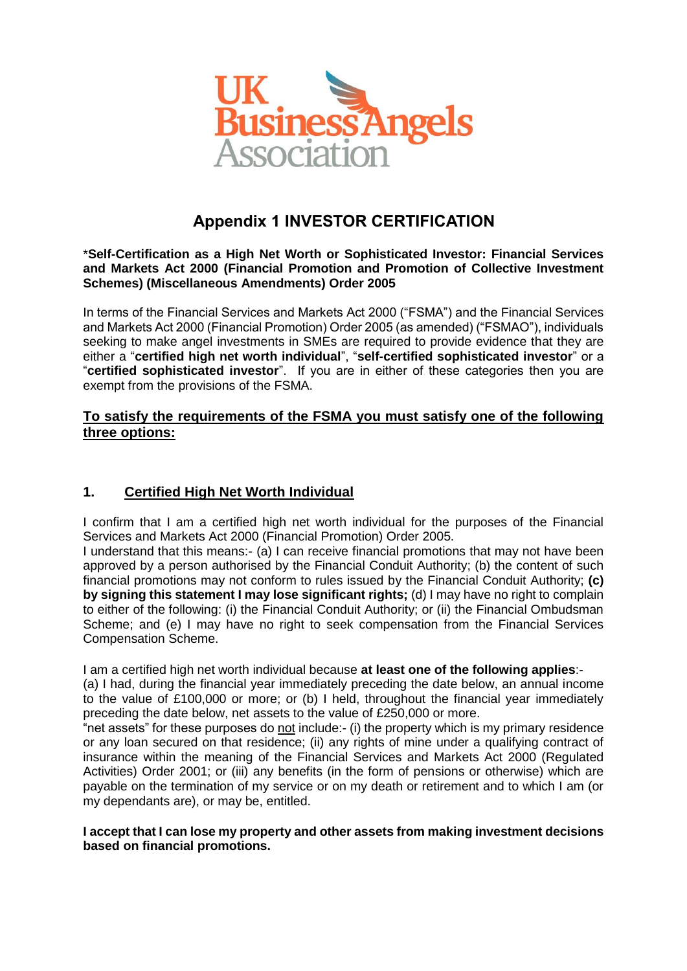

# **Appendix 1 INVESTOR CERTIFICATION**

#### \***Self-Certification as a High Net Worth or Sophisticated Investor: Financial Services and Markets Act 2000 (Financial Promotion and Promotion of Collective Investment Schemes) (Miscellaneous Amendments) Order 2005**

In terms of the Financial Services and Markets Act 2000 ("FSMA") and the Financial Services and Markets Act 2000 (Financial Promotion) Order 2005 (as amended) ("FSMAO"), individuals seeking to make angel investments in SMEs are required to provide evidence that they are either a "**certified high net worth individual**", "**self-certified sophisticated investor**" or a "**certified sophisticated investor**". If you are in either of these categories then you are exempt from the provisions of the FSMA.

### **To satisfy the requirements of the FSMA you must satisfy one of the following three options:**

## **1. Certified High Net Worth Individual**

I confirm that I am a certified high net worth individual for the purposes of the Financial Services and Markets Act 2000 (Financial Promotion) Order 2005.

I understand that this means:- (a) I can receive financial promotions that may not have been approved by a person authorised by the Financial Conduit Authority; (b) the content of such financial promotions may not conform to rules issued by the Financial Conduit Authority; **(c) by signing this statement I may lose significant rights;** (d) I may have no right to complain to either of the following: (i) the Financial Conduit Authority; or (ii) the Financial Ombudsman Scheme; and (e) I may have no right to seek compensation from the Financial Services Compensation Scheme.

I am a certified high net worth individual because **at least one of the following applies**:-

(a) I had, during the financial year immediately preceding the date below, an annual income to the value of £100,000 or more; or (b) I held, throughout the financial year immediately preceding the date below, net assets to the value of £250,000 or more.

"net assets" for these purposes do not include:- (i) the property which is my primary residence or any loan secured on that residence; (ii) any rights of mine under a qualifying contract of insurance within the meaning of the Financial Services and Markets Act 2000 (Regulated Activities) Order 2001; or (iii) any benefits (in the form of pensions or otherwise) which are payable on the termination of my service or on my death or retirement and to which I am (or my dependants are), or may be, entitled.

#### **I accept that I can lose my property and other assets from making investment decisions based on financial promotions.**